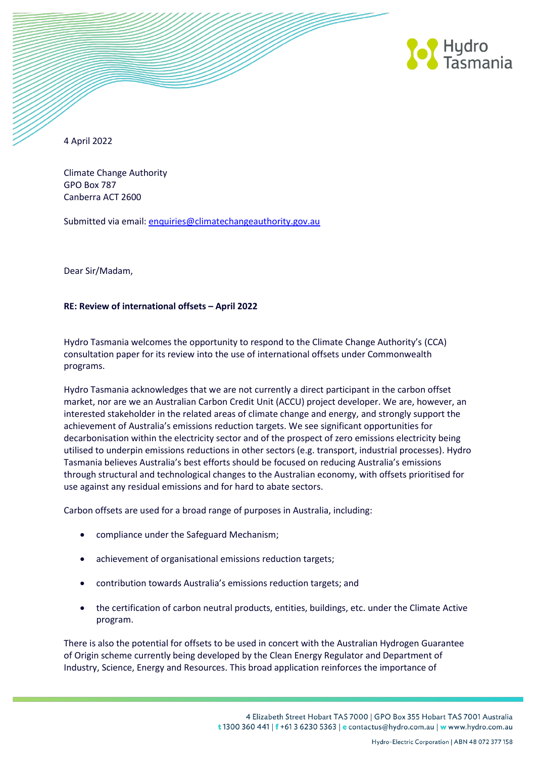

4 April 2022

Climate Change Authority GPO Box 787 Canberra ACT 2600

Submitted via email: [enquiries@climatechangeauthority.gov.au](mailto:enquiries@climatechangeauthority.gov.au)

Dear Sir/Madam,

## **RE: Review of international offsets – April 2022**

Hydro Tasmania welcomes the opportunity to respond to the Climate Change Authority's (CCA) consultation paper for its review into the use of international offsets under Commonwealth programs.

Hydro Tasmania acknowledges that we are not currently a direct participant in the carbon offset market, nor are we an Australian Carbon Credit Unit (ACCU) project developer. We are, however, an interested stakeholder in the related areas of climate change and energy, and strongly support the achievement of Australia's emissions reduction targets. We see significant opportunities for decarbonisation within the electricity sector and of the prospect of zero emissions electricity being utilised to underpin emissions reductions in other sectors (e.g. transport, industrial processes). Hydro Tasmania believes Australia's best efforts should be focused on reducing Australia's emissions through structural and technological changes to the Australian economy, with offsets prioritised for use against any residual emissions and for hard to abate sectors.

Carbon offsets are used for a broad range of purposes in Australia, including:

- compliance under the Safeguard Mechanism;
- achievement of organisational emissions reduction targets;
- contribution towards Australia's emissions reduction targets; and
- the certification of carbon neutral products, entities, buildings, etc. under the Climate Active program.

There is also the potential for offsets to be used in concert with the Australian Hydrogen Guarantee of Origin scheme currently being developed by the Clean Energy Regulator and Department of Industry, Science, Energy and Resources. This broad application reinforces the importance of

> 4 Elizabeth Street Hobart TAS 7000 | GPO Box 355 Hobart TAS 7001 Australia t 1300 360 441 | f +61 3 6230 5363 | e contactus@hydro.com.au | w www.hydro.com.au